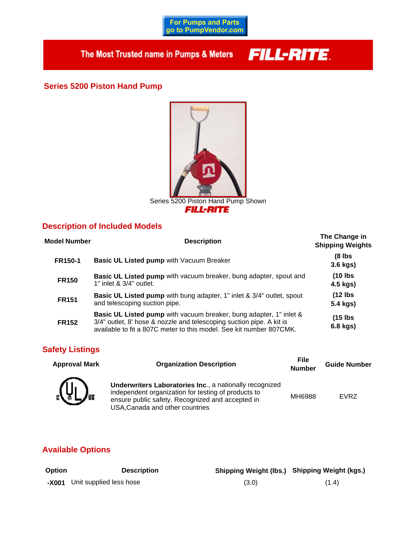**For Pumps and Parts**<br>go to PumpVendor.com

The Most Trusted name in Pumps & Meters

# **FILL-RITE**

**Series 5200 Piston Hand Pump**



# **Description of Included Models**

| <b>Model Number</b> | <b>Description</b>                                                                                                                                                                                                       | The Change in<br><b>Shipping Weights</b> |
|---------------------|--------------------------------------------------------------------------------------------------------------------------------------------------------------------------------------------------------------------------|------------------------------------------|
| <b>FR150-1</b>      | Basic UL Listed pump with Vacuum Breaker                                                                                                                                                                                 | (8 lbs<br>$3.6$ kgs)                     |
| <b>FR150</b>        | Basic UL Listed pump with vacuum breaker, bung adapter, spout and<br>$1"$ inlet & $3/4"$ outlet.                                                                                                                         | $(10$ lbs<br>4.5 kgs)                    |
| <b>FR151</b>        | Basic UL Listed pump with bung adapter, 1" inlet & 3/4" outlet, spout<br>and telescoping suction pipe.                                                                                                                   | $(12$ lbs<br>5.4 kgs)                    |
| <b>FR152</b>        | <b>Basic UL Listed pump</b> with vacuum breaker, bung adapter, 1" inlet &<br>3/4" outlet, 8' hose & nozzle and telescoping suction pipe. A kit is<br>available to fit a 807C meter to this model. See kit number 807CMK. | $(15$ lbs<br>6.8 kgs)                    |

# **Safety Listings**

| <b>Approval Mark</b>                       | <b>Organization Description</b>                                                                                                                                                                              | File<br><b>Number</b> | <b>Guide Number</b> |
|--------------------------------------------|--------------------------------------------------------------------------------------------------------------------------------------------------------------------------------------------------------------|-----------------------|---------------------|
| $\left[\psi\right]$<br>$\boldsymbol{J}$ us | <b>Underwriters Laboratories Inc., a nationally recognized</b><br>independent organization for testing of products to<br>ensure public safety. Recognized and accepted in<br>USA, Canada and other countries | <b>MH6988</b>         | <b>EVRZ</b>         |

# **Available Options**

| <b>Option</b> | <b>Description</b>            |       | Shipping Weight (Ibs.) Shipping Weight (kgs.) |
|---------------|-------------------------------|-------|-----------------------------------------------|
|               | -X001 Unit supplied less hose | (3.0) | (1.4)                                         |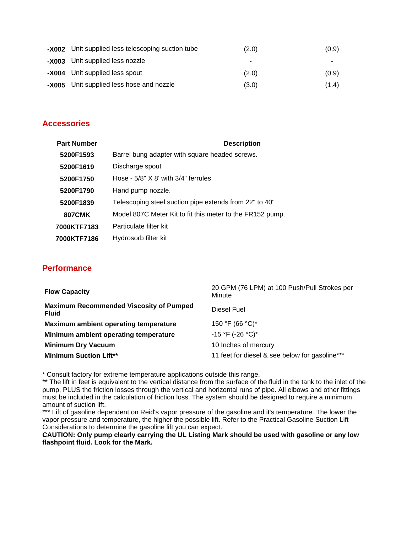| -X002 Unit supplied less telescoping suction tube | (2.0) | (0.9) |
|---------------------------------------------------|-------|-------|
| -X003 Unit supplied less nozzle                   | ۰     | ۰     |
| -X004 Unit supplied less spout                    | (2.0) | (0.9) |
| -X005 Unit supplied less hose and nozzle          | (3.0) | (1.4) |

## **Accessories**

| <b>Part Number</b> | <b>Description</b>                                        |
|--------------------|-----------------------------------------------------------|
| 5200F1593          | Barrel bung adapter with square headed screws.            |
| 5200F1619          | Discharge spout                                           |
| 5200F1750          | Hose - $5/8$ " X 8' with $3/4$ " ferrules                 |
| 5200F1790          | Hand pump nozzle.                                         |
| 5200F1839          | Telescoping steel suction pipe extends from 22" to 40"    |
| <b>807CMK</b>      | Model 807C Meter Kit to fit this meter to the FR152 pump. |
| 7000KTF7183        | Particulate filter kit                                    |
| 7000KTF7186        | Hydrosorb filter kit                                      |

## **Performance**

| <b>Flow Capacity</b>                                           | 20 GPM (76 LPM) at 100 Push/Pull Strokes per<br>Minute |
|----------------------------------------------------------------|--------------------------------------------------------|
| <b>Maximum Recommended Viscosity of Pumped</b><br><b>Fluid</b> | Diesel Fuel                                            |
| Maximum ambient operating temperature                          | 150 °F (66 °C)*                                        |
| Minimum ambient operating temperature                          | $-15$ °F (-26 °C)*                                     |
| <b>Minimum Dry Vacuum</b>                                      | 10 Inches of mercury                                   |
| <b>Minimum Suction Lift**</b>                                  | 11 feet for diesel & see below for gasoline***         |

\* Consult factory for extreme temperature applications outside this range.

\*\* The lift in feet is equivalent to the vertical distance from the surface of the fluid in the tank to the inlet of the pump, PLUS the friction losses through the vertical and horizontal runs of pipe. All elbows and other fittings must be included in the calculation of friction loss. The system should be designed to require a minimum amount of suction lift.

\*\*\* Lift of gasoline dependent on Reid's vapor pressure of the gasoline and it's temperature. The lower the vapor pressure and temperature, the higher the possible lift. Refer to the Practical Gasoline Suction Lift Considerations to determine the gasoline lift you can expect.

**CAUTION: Only pump clearly carrying the UL Listing Mark should be used with gasoline or any low flashpoint fluid. Look for the Mark.**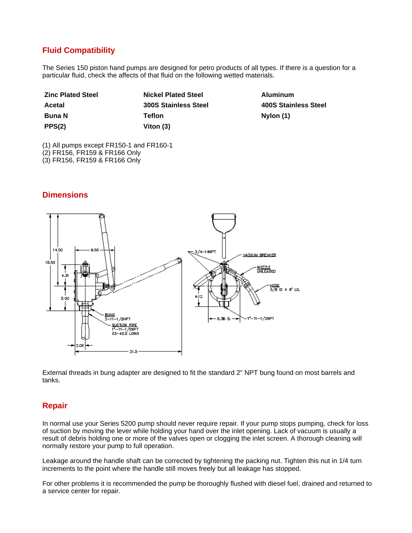# **Fluid Compatibility**

The Series 150 piston hand pumps are designed for petro products of all types. If there is a question for a particular fluid, check the affects of that fluid on the following wetted materials.

| <b>Zinc Plated Steel</b> | <b>Nickel Plated Steel</b>  | Aluminum   |
|--------------------------|-----------------------------|------------|
| Acetal                   | <b>300S Stainless Steel</b> | 400S Stair |
| <b>Buna</b> N            | Tefion                      | Nylon (1)  |
| PPS(2)                   | Viton (3)                   |            |

**Acetal 300S Stainless Steel 400S Stainless Steel Bylon (1)** 

(1) All pumps except FR150-1 and FR160-1

(2) FR156, FR159 & FR166 Only

(3) FR156, FR159 & FR166 Only

## **Dimensions**



External threads in bung adapter are designed to fit the standard 2" NPT bung found on most barrels and tanks.

## **Repair**

In normal use your Series 5200 pump should never require repair. If your pump stops pumping, check for loss of suction by moving the lever while holding your hand over the inlet opening. Lack of vacuum is usually a result of debris holding one or more of the valves open or clogging the inlet screen. A thorough cleaning will normally restore your pump to full operation.

Leakage around the handle shaft can be corrected by tightening the packing nut. Tighten this nut in 1/4 turn increments to the point where the handle still moves freely but all leakage has stopped.

For other problems it is recommended the pump be thoroughly flushed with diesel fuel, drained and returned to a service center for repair.